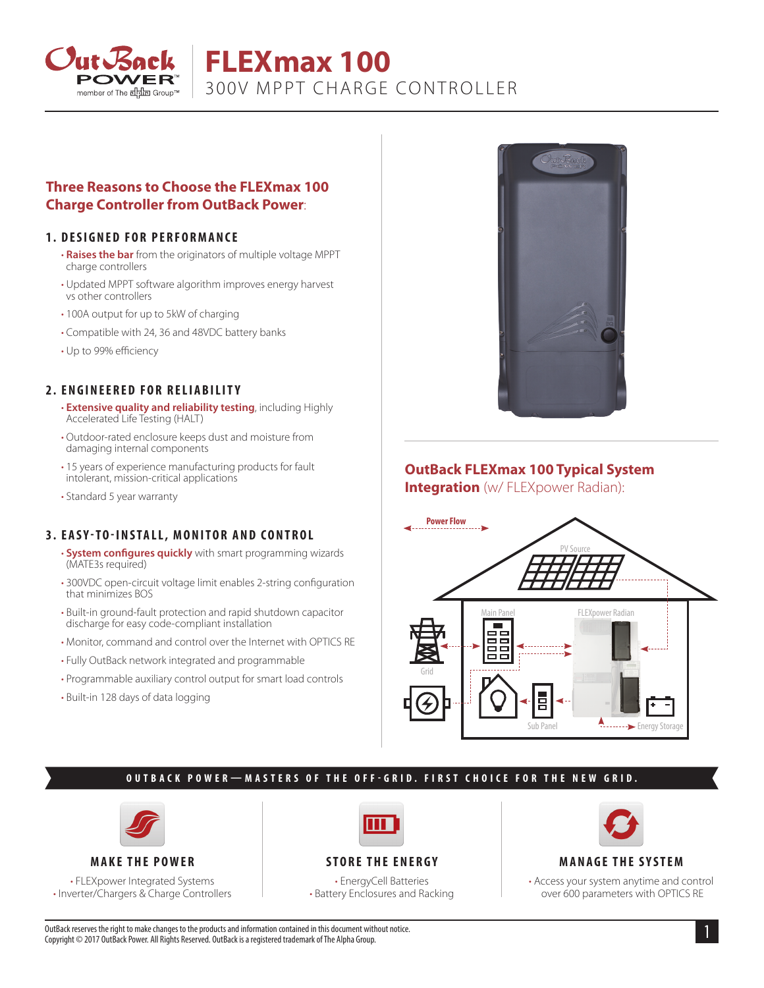

# **FLEXmax 100** 300V MPPT CHARGE CONTROLLER

#### **Three Reasons to Choose the FLEXmax 100 Charge Controller from OutBack Power**:

#### **1. DESIGNED FOR PERFORMANCE**

- **Raises the bar** from the originators of multiple voltage MPPT charge controllers
- Updated MPPT software algorithm improves energy harvest vs other controllers
- 100A output for up to 5kW of charging
- Compatible with 24, 36 and 48VDC battery banks
- Up to 99% efficiency

#### **2. ENGINEERED FOR RELIABILITY**

- **Extensive quality and reliability testing**, including Highly Accelerated Life Testing (HALT)
- Outdoor-rated enclosure keeps dust and moisture from damaging internal components
- 15 years of experience manufacturing products for fault intolerant, mission-critical applications
- Standard 5 year warranty

#### **3. EASY-TO-INSTALL, MONITOR AND CONTROL**

- **System configures quickly** with smart programming wizards (MATE3s required)
- 300VDC open-circuit voltage limit enables 2-string configuration that minimizes BOS
- Built-in ground-fault protection and rapid shutdown capacitor discharge for easy code-compliant installation
- Monitor, command and control over the Internet with OPTICS RE
- Fully OutBack network integrated and programmable
- Programmable auxiliary control output for smart load controls
- Built-in 128 days of data logging



## **OutBack FLEXmax 100 Typical System**

**Integration** (w/ FLEXpower Radian):



#### **OUTBACK POWER—MASTERS OF THE OFF-GRID. FIRST CHOICE FOR THE NEW GRID.**



#### **MAKE THE POWER**

• FLEXpower Integrated Systems • Inverter/Chargers & Charge Controllers

### **STORE THE ENERGY**

• EnergyCell Batteries • Battery Enclosures and Racking



#### **MANAGE THE SYSTEM**

• Access your system anytime and control over 600 parameters with OPTICS RE

OutBack reserves the right to make changes to the products and information contained in this document without notice. Copyright © 2017 OutBack Power. All Rights Reserved. OutBack is a registered trademark of The Alpha Group.